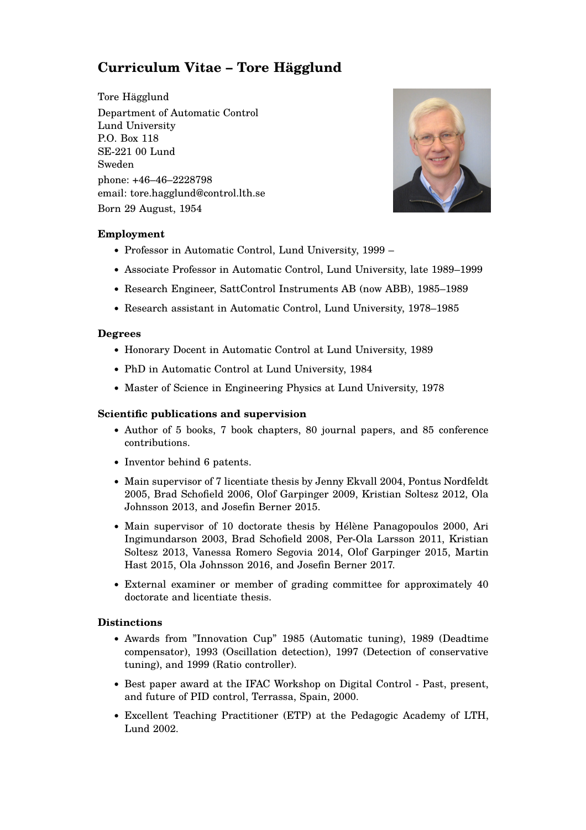# **Curriculum Vitae – Tore Hägglund**

Tore Hägglund Department of Automatic Control Lund University P.O. Box 118 SE-221 00 Lund Sweden phone: +46–46–2228798 email: tore.hagglund@control.lth.se Born 29 August, 1954



## **Employment**

- Professor in Automatic Control, Lund University, 1999 –
- Associate Professor in Automatic Control, Lund University, late 1989–1999
- Research Engineer, SattControl Instruments AB (now ABB), 1985–1989
- Research assistant in Automatic Control, Lund University, 1978–1985

## **Degrees**

- Honorary Docent in Automatic Control at Lund University, 1989
- PhD in Automatic Control at Lund University, 1984
- Master of Science in Engineering Physics at Lund University, 1978

### **Scientific publications and supervision**

- Author of 5 books, 7 book chapters, 80 journal papers, and 85 conference contributions.
- Inventor behind 6 patents.
- Main supervisor of 7 licentiate thesis by Jenny Ekvall 2004, Pontus Nordfeldt 2005, Brad Schofield 2006, Olof Garpinger 2009, Kristian Soltesz 2012, Ola Johnsson 2013, and Josefin Berner 2015.
- Main supervisor of 10 doctorate thesis by Hélène Panagopoulos 2000, Ari Ingimundarson 2003, Brad Schofield 2008, Per-Ola Larsson 2011, Kristian Soltesz 2013, Vanessa Romero Segovia 2014, Olof Garpinger 2015, Martin Hast 2015, Ola Johnsson 2016, and Josefin Berner 2017.
- External examiner or member of grading committee for approximately 40 doctorate and licentiate thesis.

#### **Distinctions**

- Awards from "Innovation Cup" 1985 (Automatic tuning), 1989 (Deadtime compensator), 1993 (Oscillation detection), 1997 (Detection of conservative tuning), and 1999 (Ratio controller).
- Best paper award at the IFAC Workshop on Digital Control Past, present, and future of PID control, Terrassa, Spain, 2000.
- Excellent Teaching Practitioner (ETP) at the Pedagogic Academy of LTH, Lund 2002.